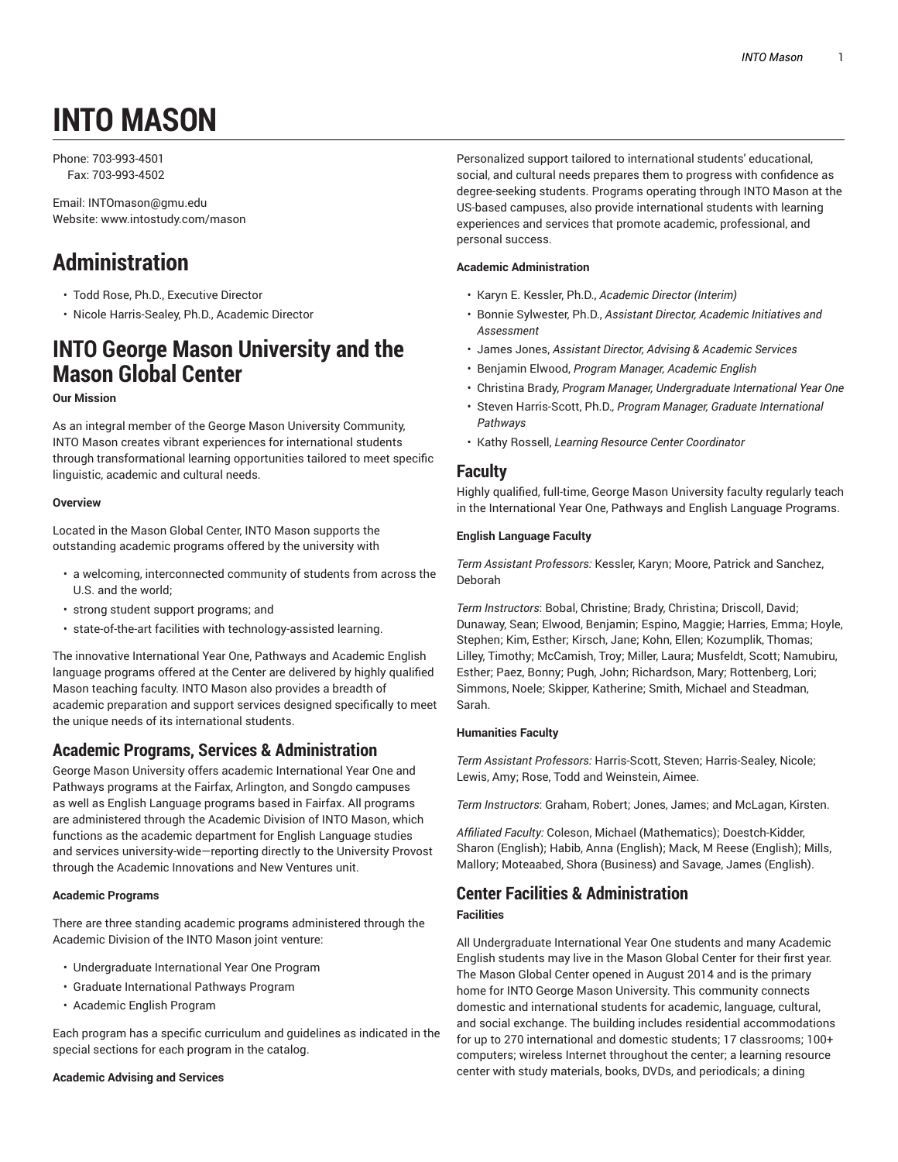# **INTO MASON**

Phone: 703-993-4501 Fax: 703-993-4502

Email: INTOmason@gmu.edu Website: www.intostudy.com/mason

## **Administration**

- Todd Rose, Ph.D., Executive Director
- Nicole Harris-Sealey, Ph.D., Academic Director

## **INTO George Mason University and the Mason Global Center**

#### **Our Mission**

As an integral member of the George Mason University Community, INTO Mason creates vibrant experiences for international students through transformational learning opportunities tailored to meet specific linguistic, academic and cultural needs.

#### **Overview**

Located in the Mason Global Center, INTO Mason supports the outstanding academic programs offered by the university with

- a welcoming, interconnected community of students from across the U.S. and the world;
- strong student support programs; and
- state-of-the-art facilities with technology-assisted learning.

The innovative International Year One, Pathways and Academic English language programs offered at the Center are delivered by highly qualified Mason teaching faculty. INTO Mason also provides a breadth of academic preparation and support services designed specifically to meet the unique needs of its international students.

## **Academic Programs, Services & Administration**

George Mason University offers academic International Year One and Pathways programs at the Fairfax, Arlington, and Songdo campuses as well as English Language programs based in Fairfax. All programs are administered through the Academic Division of INTO Mason, which functions as the academic department for English Language studies and services university-wide—reporting directly to the University Provost through the Academic Innovations and New Ventures unit.

#### **Academic Programs**

There are three standing academic programs administered through the Academic Division of the INTO Mason joint venture:

- Undergraduate International Year One Program
- Graduate International Pathways Program
- Academic English Program

Each program has a specific curriculum and guidelines as indicated in the special sections for each program in the catalog.

#### **Academic Advising and Services**

Personalized support tailored to international students' educational, social, and cultural needs prepares them to progress with confidence as degree-seeking students. Programs operating through INTO Mason at the US-based campuses, also provide international students with learning experiences and services that promote academic, professional, and personal success.

#### **Academic Administration**

- Karyn E. Kessler, Ph.D., *Academic Director (Interim)*
- Bonnie Sylwester, Ph.D., *Assistant Director, Academic Initiatives and Assessment*
- James Jones, *Assistant Director, Advising & Academic Services*
- Benjamin Elwood, *Program Manager, Academic English*
- Christina Brady, *Program Manager, Undergraduate International Year One*
- Steven Harris-Scott, Ph.D.*, Program Manager, Graduate International Pathways*
- Kathy Rossell, *Learning Resource Center Coordinator*

## **Faculty**

Highly qualified, full-time, George Mason University faculty regularly teach in the International Year One, Pathways and English Language Programs.

#### **English Language Faculty**

*Term Assistant Professors:* Kessler, Karyn; Moore, Patrick and Sanchez, Deborah

*Term Instructors*: Bobal, Christine; Brady, Christina; Driscoll, David; Dunaway, Sean; Elwood, Benjamin; Espino, Maggie; Harries, Emma; Hoyle, Stephen; Kim, Esther; Kirsch, Jane; Kohn, Ellen; Kozumplik, Thomas; Lilley, Timothy; McCamish, Troy; Miller, Laura; Musfeldt, Scott; Namubiru, Esther; Paez, Bonny; Pugh, John; Richardson, Mary; Rottenberg, Lori; Simmons, Noele; Skipper, Katherine; Smith, Michael and Steadman, Sarah.

#### **Humanities Faculty**

*Term Assistant Professors:* Harris-Scott, Steven; Harris-Sealey, Nicole; Lewis, Amy; Rose, Todd and Weinstein, Aimee.

*Term Instructors*: Graham, Robert; Jones, James; and McLagan, Kirsten.

*Affiliated Faculty:* Coleson, Michael (Mathematics); Doestch-Kidder, Sharon (English); Habib, Anna (English); Mack, M Reese (English); Mills, Mallory; Moteaabed, Shora (Business) and Savage, James (English).

#### **Center Facilities & Administration Facilities**

All Undergraduate International Year One students and many Academic English students may live in the Mason Global Center for their first year. The Mason Global Center opened in August 2014 and is the primary home for INTO George Mason University. This community connects domestic and international students for academic, language, cultural, and social exchange. The building includes residential accommodations for up to 270 international and domestic students; 17 classrooms; 100+ computers; wireless Internet throughout the center; a learning resource center with study materials, books, DVDs, and periodicals; a dining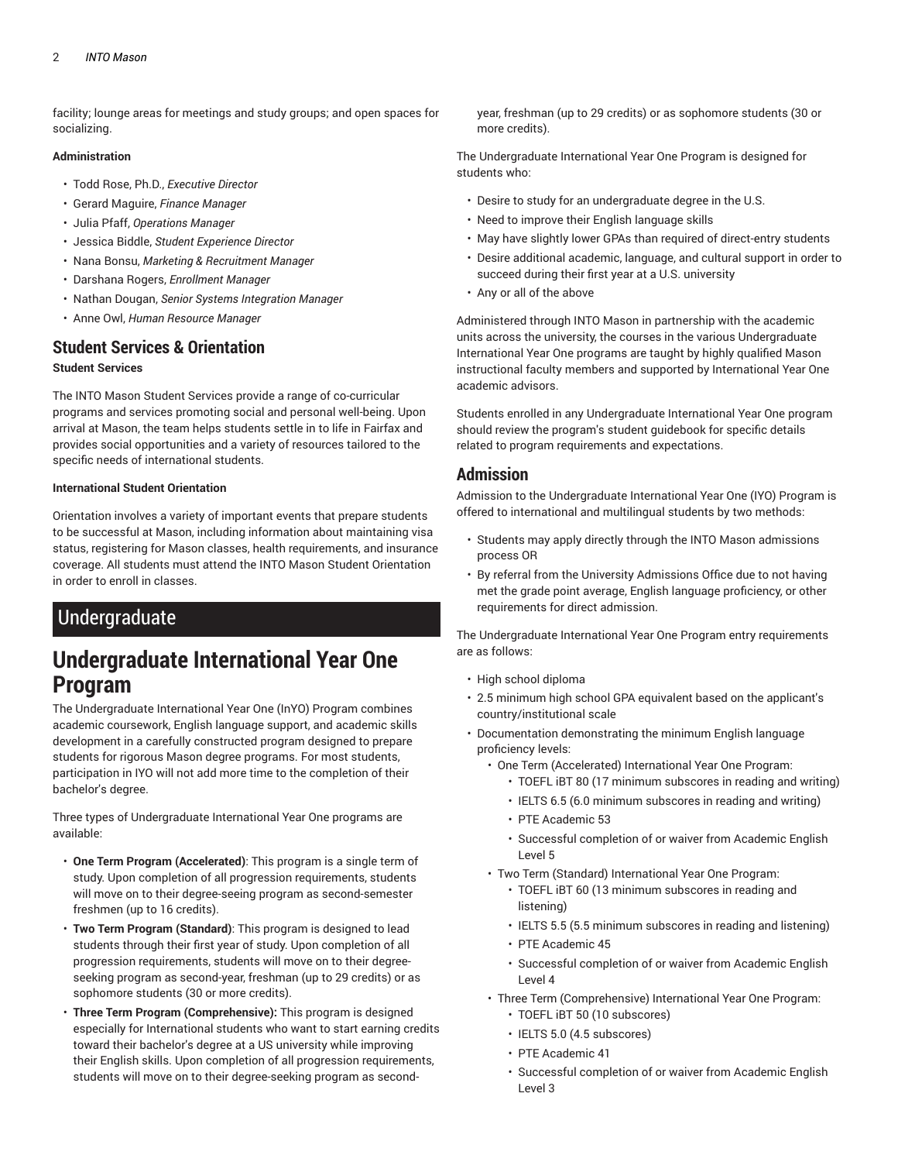facility; lounge areas for meetings and study groups; and open spaces for socializing.

#### **Administration**

- Todd Rose, Ph.D., *Executive Director*
- Gerard Maguire, *Finance Manager*
- Julia Pfaff, *Operations Manager*
- Jessica Biddle, *Student Experience Director*
- Nana Bonsu, *Marketing & Recruitment Manager*
- Darshana Rogers, *Enrollment Manager*
- Nathan Dougan, *Senior Systems Integration Manager*
- Anne Owl, *Human Resource Manager*

## **Student Services & Orientation**

#### **Student Services**

The INTO Mason Student Services provide a range of co-curricular programs and services promoting social and personal well-being. Upon arrival at Mason, the team helps students settle in to life in Fairfax and provides social opportunities and a variety of resources tailored to the specific needs of international students.

#### **International Student Orientation**

Orientation involves a variety of important events that prepare students to be successful at Mason, including information about maintaining visa status, registering for Mason classes, health requirements, and insurance coverage. All students must attend the INTO Mason Student Orientation in order to enroll in classes.

## Undergraduate

## **Undergraduate International Year One Program**

The Undergraduate International Year One (InYO) Program combines academic coursework, English language support, and academic skills development in a carefully constructed program designed to prepare students for rigorous Mason degree programs. For most students, participation in IYO will not add more time to the completion of their bachelor's degree.

Three types of Undergraduate International Year One programs are available:

- **One Term Program (Accelerated)**: This program is a single term of study. Upon completion of all progression requirements, students will move on to their degree-seeing program as second-semester freshmen (up to 16 credits).
- **Two Term Program (Standard)**: This program is designed to lead students through their first year of study. Upon completion of all progression requirements, students will move on to their degreeseeking program as second-year, freshman (up to 29 credits) or as sophomore students (30 or more credits).
- **Three Term Program (Comprehensive):** This program is designed especially for International students who want to start earning credits toward their bachelor's degree at a US university while improving their English skills. Upon completion of all progression requirements, students will move on to their degree-seeking program as second-

year, freshman (up to 29 credits) or as sophomore students (30 or more credits).

The Undergraduate International Year One Program is designed for students who:

- Desire to study for an undergraduate degree in the U.S.
- Need to improve their English language skills
- May have slightly lower GPAs than required of direct-entry students
- Desire additional academic, language, and cultural support in order to succeed during their first year at a U.S. university
- Any or all of the above

Administered through INTO Mason in partnership with the academic units across the university, the courses in the various Undergraduate International Year One programs are taught by highly qualified Mason instructional faculty members and supported by International Year One academic advisors.

Students enrolled in any Undergraduate International Year One program should review the program's student guidebook for specific details related to program requirements and expectations.

## **Admission**

Admission to the Undergraduate International Year One (IYO) Program is offered to international and multilingual students by two methods:

- Students may apply directly through the INTO Mason admissions process OR
- By referral from the University Admissions Office due to not having met the grade point average, English language proficiency, or other requirements for direct admission.

The Undergraduate International Year One Program entry requirements are as follows:

- High school diploma
- 2.5 minimum high school GPA equivalent based on the applicant's country/institutional scale
- Documentation demonstrating the minimum English language proficiency levels:
	- One Term (Accelerated) International Year One Program:
		- TOEFL iBT 80 (17 minimum subscores in reading and writing)
		- IELTS 6.5 (6.0 minimum subscores in reading and writing)
		- PTE Academic 53
		- Successful completion of or waiver from Academic English Level 5
	- Two Term (Standard) International Year One Program:
		- TOEFL iBT 60 (13 minimum subscores in reading and listening)
		- IELTS 5.5 (5.5 minimum subscores in reading and listening)
		- PTE Academic 45
		- Successful completion of or waiver from Academic English Level 4
	- Three Term (Comprehensive) International Year One Program:
		- TOEFL iBT 50 (10 subscores)
		- IELTS 5.0 (4.5 subscores)
		- PTE Academic 41
		- Successful completion of or waiver from Academic English Level 3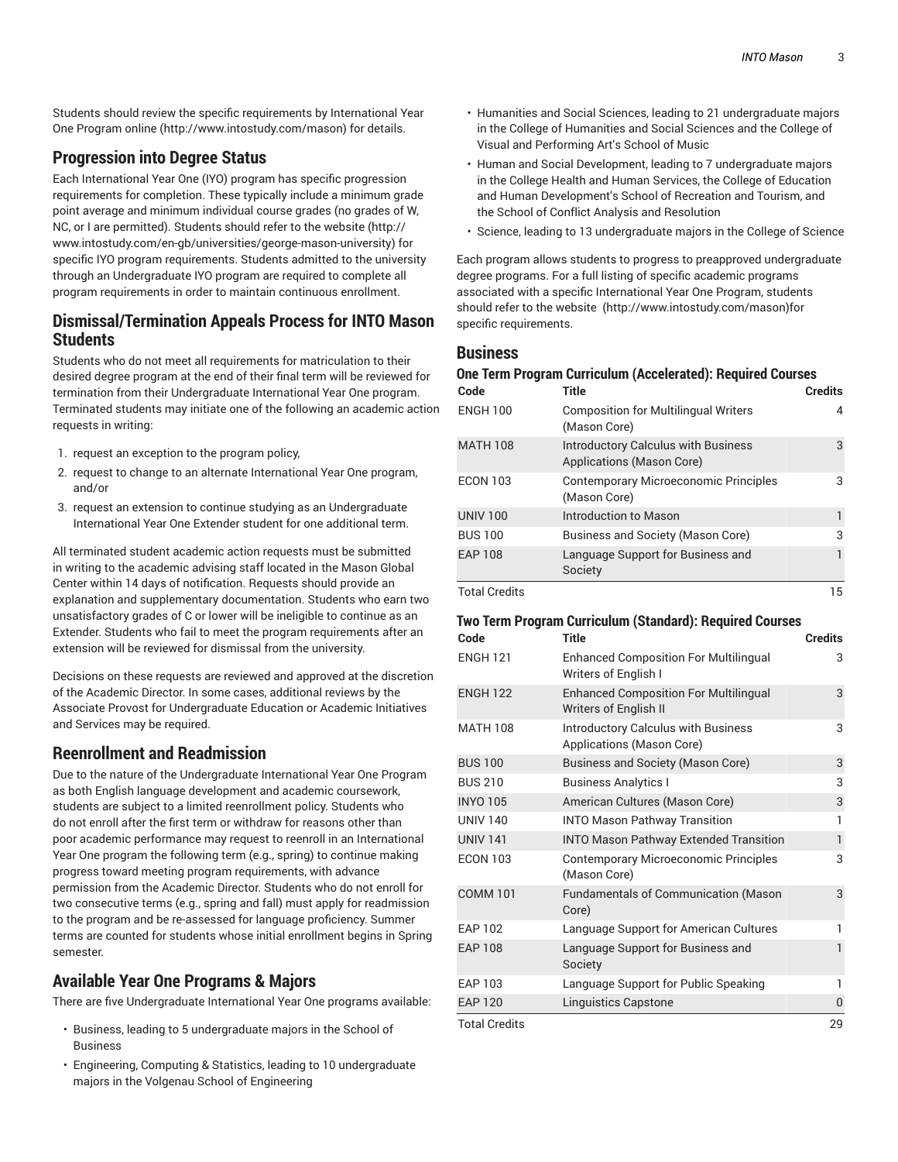Students should review the specific requirements by International Year One Program online (http://www.intostudy.com/mason) for details.

## **Progression into Degree Status**

Each International Year One (IYO) program has specific progression requirements for completion. These typically include a minimum grade point average and minimum individual course grades (no grades of W, NC, or I are permitted). Students should refer to the website (http:// www.intostudy.com/en-gb/universities/george-mason-university) for specific IYO program requirements. Students admitted to the university through an Undergraduate IYO program are required to complete all program requirements in order to maintain continuous enrollment.

## **Dismissal/Termination Appeals Process for INTO Mason Students**

Students who do not meet all requirements for matriculation to their desired degree program at the end of their final term will be reviewed for termination from their Undergraduate International Year One program. Terminated students may initiate one of the following an academic action requests in writing:

- 1. request an exception to the program policy,
- 2. request to change to an alternate International Year One program, and/or
- 3. request an extension to continue studying as an Undergraduate International Year One Extender student for one additional term.

All terminated student academic action requests must be submitted in writing to the academic advising staff located in the Mason Global Center within 14 days of notification. Requests should provide an explanation and supplementary documentation. Students who earn two unsatisfactory grades of C or lower will be ineligible to continue as an Extender. Students who fail to meet the program requirements after an extension will be reviewed for dismissal from the university.

Decisions on these requests are reviewed and approved at the discretion of the Academic Director. In some cases, additional reviews by the Associate Provost for Undergraduate Education or Academic Initiatives and Services may be required.

## **Reenrollment and Readmission**

Due to the nature of the Undergraduate International Year One Program as both English language development and academic coursework, students are subject to a limited reenrollment policy. Students who do not enroll after the first term or withdraw for reasons other than poor academic performance may request to reenroll in an International Year One program the following term (e.g., spring) to continue making progress toward meeting program requirements, with advance permission from the Academic Director. Students who do not enroll for two consecutive terms (e.g., spring and fall) must apply for readmission to the program and be re-assessed for language proficiency. Summer terms are counted for students whose initial enrollment begins in Spring semester.

## **Available Year One Programs & Majors**

There are five Undergraduate International Year One programs available:

- Business, leading to 5 undergraduate majors in the School of Business
- Engineering, Computing & Statistics, leading to 10 undergraduate majors in the Volgenau School of Engineering
- Humanities and Social Sciences, leading to 21 undergraduate majors in the College of Humanities and Social Sciences and the College of Visual and Performing Art's School of Music
- Human and Social Development, leading to 7 undergraduate majors in the College Health and Human Services, the College of Education and Human Development's School of Recreation and Tourism, and the School of Conflict Analysis and Resolution
- Science, leading to 13 undergraduate majors in the College of Science

Each program allows students to progress to preapproved undergraduate degree programs. For a full listing of specific academic programs associated with a specific International Year One Program, students should refer to the website (http://www.intostudy.com/mason)for specific requirements.

#### **Business**

#### **One Term Program Curriculum (Accelerated): Required Courses**

| Code                 | <b>Title</b>                                                            | <b>Credits</b> |
|----------------------|-------------------------------------------------------------------------|----------------|
| <b>ENGH 100</b>      | <b>Composition for Multilingual Writers</b><br>(Mason Core)             | 4              |
| <b>MATH 108</b>      | <b>Introductory Calculus with Business</b><br>Applications (Mason Core) | 3              |
| <b>ECON 103</b>      | <b>Contemporary Microeconomic Principles</b><br>(Mason Core)            | 3              |
| <b>UNIV 100</b>      | Introduction to Mason                                                   |                |
| <b>BUS 100</b>       | Business and Society (Mason Core)                                       | 3              |
| <b>EAP 108</b>       | Language Support for Business and<br>Society                            |                |
| <b>Total Credits</b> |                                                                         | 15             |

#### **Two Term Program Curriculum (Standard): Required Courses**

| Code                 | Title                                                                   | <b>Credits</b> |
|----------------------|-------------------------------------------------------------------------|----------------|
| <b>ENGH 121</b>      | <b>Enhanced Composition For Multilingual</b><br>Writers of English I    | 3              |
| <b>ENGH 122</b>      | <b>Enhanced Composition For Multilingual</b><br>Writers of English II   | 3              |
| <b>MATH 108</b>      | <b>Introductory Calculus with Business</b><br>Applications (Mason Core) | 3              |
| <b>BUS 100</b>       | <b>Business and Society (Mason Core)</b>                                | 3              |
| <b>BUS 210</b>       | <b>Business Analytics I</b>                                             | 3              |
| <b>INYO 105</b>      | American Cultures (Mason Core)                                          | 3              |
| <b>UNIV 140</b>      | <b>INTO Mason Pathway Transition</b>                                    | 1              |
| <b>UNIV 141</b>      | <b>INTO Mason Pathway Extended Transition</b>                           | $\mathbf{1}$   |
| <b>ECON 103</b>      | <b>Contemporary Microeconomic Principles</b><br>(Mason Core)            | 3              |
| <b>COMM 101</b>      | <b>Fundamentals of Communication (Mason</b><br>Core)                    | 3              |
| <b>EAP 102</b>       | Language Support for American Cultures                                  | 1              |
| <b>EAP 108</b>       | Language Support for Business and<br>Society                            | 1              |
| EAP 103              | Language Support for Public Speaking                                    | 1              |
| <b>EAP 120</b>       | <b>Linguistics Capstone</b>                                             | 0              |
| <b>Total Credits</b> |                                                                         | 29             |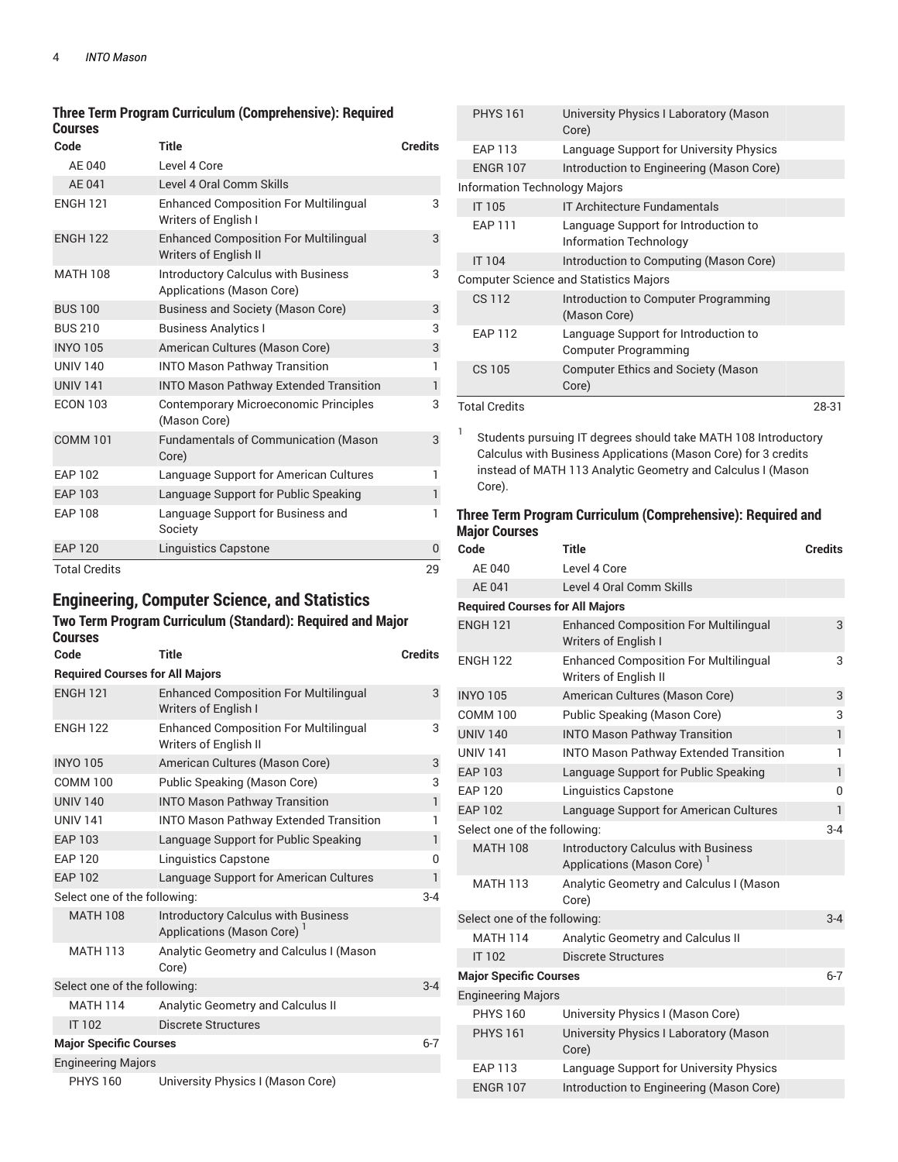#### **Three Term Program Curriculum (Comprehensive): Required Courses**

| Code                 | <b>Title</b>                                                            | <b>Credits</b> |
|----------------------|-------------------------------------------------------------------------|----------------|
| AE 040               | Level 4 Core                                                            |                |
| AE 041               | Level 4 Oral Comm Skills                                                |                |
| <b>ENGH 121</b>      | <b>Enhanced Composition For Multilingual</b><br>Writers of English I    | 3              |
| <b>ENGH 122</b>      | <b>Enhanced Composition For Multilingual</b><br>Writers of English II   | 3              |
| <b>MATH 108</b>      | <b>Introductory Calculus with Business</b><br>Applications (Mason Core) | 3              |
| <b>BUS 100</b>       | <b>Business and Society (Mason Core)</b>                                | 3              |
| <b>BUS 210</b>       | <b>Business Analytics I</b>                                             | 3              |
| <b>INYO 105</b>      | American Cultures (Mason Core)                                          | 3              |
| <b>UNIV 140</b>      | <b>INTO Mason Pathway Transition</b>                                    | 1              |
| <b>UNIV 141</b>      | <b>INTO Mason Pathway Extended Transition</b>                           | $\mathbf{1}$   |
| <b>ECON 103</b>      | Contemporary Microeconomic Principles<br>(Mason Core)                   | 3              |
| <b>COMM 101</b>      | <b>Fundamentals of Communication (Mason</b><br>Core)                    | 3              |
| <b>EAP 102</b>       | Language Support for American Cultures                                  | 1              |
| <b>EAP 103</b>       | Language Support for Public Speaking                                    | $\mathbf{1}$   |
| <b>EAP 108</b>       | Language Support for Business and<br>Society                            | 1              |
| <b>EAP 120</b>       | <b>Linguistics Capstone</b>                                             | $\Omega$       |
| <b>Total Credits</b> |                                                                         | 29             |

## **Engineering, Computer Science, and Statistics**

#### **Two Term Program Curriculum (Standard): Required and Major Courses**

| Code                          | <b>Title</b>                                                            | <b>Credits</b> |  |
|-------------------------------|-------------------------------------------------------------------------|----------------|--|
|                               | <b>Required Courses for All Majors</b>                                  |                |  |
| <b>ENGH 121</b>               | <b>Enhanced Composition For Multilingual</b><br>Writers of English I    | 3              |  |
| <b>ENGH 122</b>               | <b>Enhanced Composition For Multilingual</b><br>Writers of English II   | 3              |  |
| <b>INYO 105</b>               | American Cultures (Mason Core)                                          | 3              |  |
| <b>COMM 100</b>               | Public Speaking (Mason Core)                                            | 3              |  |
| <b>UNIV 140</b>               | <b>INTO Mason Pathway Transition</b>                                    | $\mathbf{1}$   |  |
| <b>UNIV 141</b>               | <b>INTO Mason Pathway Extended Transition</b>                           | 1              |  |
| <b>EAP 103</b>                | Language Support for Public Speaking                                    | $\mathbf{1}$   |  |
| <b>EAP 120</b>                | <b>Linguistics Capstone</b>                                             | 0              |  |
| <b>EAP 102</b>                | Language Support for American Cultures                                  | 1              |  |
| Select one of the following:  |                                                                         | $3-4$          |  |
| <b>MATH 108</b>               | <b>Introductory Calculus with Business</b><br>Applications (Mason Core) |                |  |
| <b>MATH 113</b>               | Analytic Geometry and Calculus I (Mason<br>Core)                        |                |  |
| Select one of the following:  |                                                                         | $3-4$          |  |
| <b>MATH 114</b>               | Analytic Geometry and Calculus II                                       |                |  |
| <b>IT 102</b>                 | <b>Discrete Structures</b>                                              |                |  |
| <b>Major Specific Courses</b> |                                                                         | $6 - 7$        |  |
| <b>Engineering Majors</b>     |                                                                         |                |  |
| <b>PHYS 160</b>               | University Physics I (Mason Core)                                       |                |  |

| <b>PHYS 161</b>                      | University Physics I Laboratory (Mason<br>Core)                       |       |
|--------------------------------------|-----------------------------------------------------------------------|-------|
| <b>EAP 113</b>                       | Language Support for University Physics                               |       |
| <b>ENGR 107</b>                      | Introduction to Engineering (Mason Core)                              |       |
| <b>Information Technology Majors</b> |                                                                       |       |
| IT 105                               | <b>IT Architecture Fundamentals</b>                                   |       |
| <b>EAP 111</b>                       | Language Support for Introduction to<br><b>Information Technology</b> |       |
| <b>IT 104</b>                        | Introduction to Computing (Mason Core)                                |       |
|                                      | <b>Computer Science and Statistics Majors</b>                         |       |
| <b>CS 112</b>                        | Introduction to Computer Programming<br>(Mason Core)                  |       |
| <b>FAP 112</b>                       | Language Support for Introduction to<br><b>Computer Programming</b>   |       |
| CS 105                               | <b>Computer Ethics and Society (Mason</b><br>Core)                    |       |
| <b>Total Credits</b>                 |                                                                       | 28-31 |

1 Students pursuing IT degrees should take MATH 108 Introductory Calculus with Business Applications (Mason Core) for 3 credits instead of MATH 113 Analytic Geometry and Calculus I (Mason Core).

#### **Three Term Program Curriculum (Comprehensive): Required and Major Courses**

| Code                                   | Title                                                                                | <b>Credits</b> |
|----------------------------------------|--------------------------------------------------------------------------------------|----------------|
| AE 040                                 | Level 4 Core                                                                         |                |
| AE 041                                 | Level 4 Oral Comm Skills                                                             |                |
| <b>Required Courses for All Majors</b> |                                                                                      |                |
| <b>ENGH 121</b>                        | <b>Enhanced Composition For Multilingual</b><br><b>Writers of English I</b>          | 3              |
| <b>ENGH 122</b>                        | <b>Enhanced Composition For Multilingual</b><br><b>Writers of English II</b>         | 3              |
| <b>INYO 105</b>                        | American Cultures (Mason Core)                                                       | 3              |
| <b>COMM 100</b>                        | Public Speaking (Mason Core)                                                         | 3              |
| <b>UNIV 140</b>                        | <b>INTO Mason Pathway Transition</b>                                                 | $\mathbf{1}$   |
| <b>UNIV 141</b>                        | <b>INTO Mason Pathway Extended Transition</b>                                        | 1              |
| <b>EAP 103</b>                         | Language Support for Public Speaking                                                 | $\mathbf{1}$   |
| <b>EAP 120</b>                         | <b>Linguistics Capstone</b>                                                          | 0              |
| <b>EAP 102</b>                         | Language Support for American Cultures                                               | 1              |
| Select one of the following:           |                                                                                      | $3-4$          |
| <b>MATH 108</b>                        | <b>Introductory Calculus with Business</b><br>Applications (Mason Core) <sup>1</sup> |                |
| <b>MATH 113</b>                        | Analytic Geometry and Calculus I (Mason<br>Core)                                     |                |
| Select one of the following:           |                                                                                      | $3 - 4$        |
| <b>MATH 114</b>                        | Analytic Geometry and Calculus II                                                    |                |
| <b>IT 102</b>                          | <b>Discrete Structures</b>                                                           |                |
| <b>Major Specific Courses</b>          |                                                                                      | $6 - 7$        |
| <b>Engineering Majors</b>              |                                                                                      |                |
| <b>PHYS 160</b>                        | University Physics I (Mason Core)                                                    |                |
| <b>PHYS 161</b>                        | University Physics I Laboratory (Mason<br>Core)                                      |                |
| <b>EAP 113</b>                         | Language Support for University Physics                                              |                |
| <b>ENGR 107</b>                        | Introduction to Engineering (Mason Core)                                             |                |
|                                        |                                                                                      |                |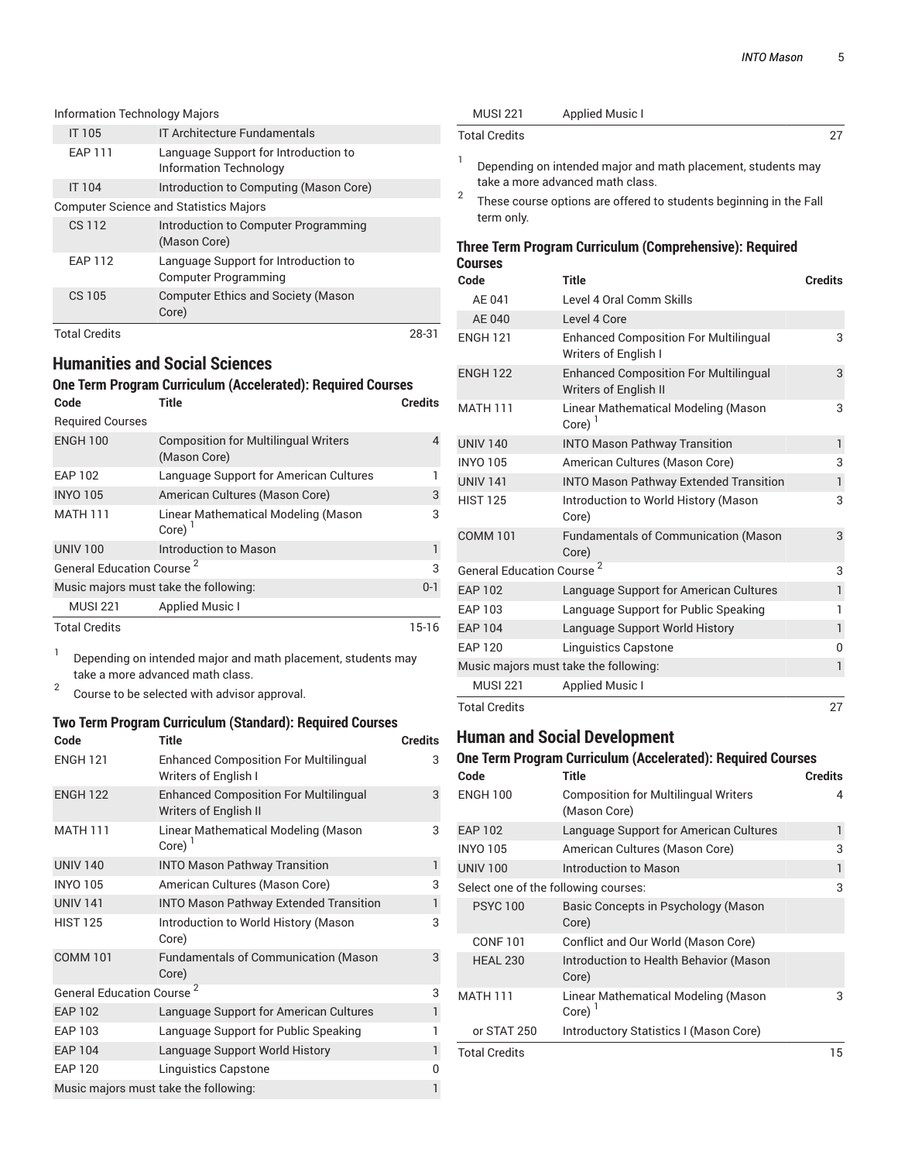| <b>Information Technology Majors</b> |                                                                       |       |
|--------------------------------------|-----------------------------------------------------------------------|-------|
| IT 105                               | <b>IT Architecture Fundamentals</b>                                   |       |
| <b>EAP 111</b>                       | Language Support for Introduction to<br><b>Information Technology</b> |       |
| <b>IT 104</b>                        | Introduction to Computing (Mason Core)                                |       |
|                                      | <b>Computer Science and Statistics Majors</b>                         |       |
| CS 112                               | Introduction to Computer Programming<br>(Mason Core)                  |       |
| <b>EAP 112</b>                       | Language Support for Introduction to<br><b>Computer Programming</b>   |       |
| CS 105                               | <b>Computer Ethics and Society (Mason</b><br>Core)                    |       |
| <b>Total Credits</b>                 |                                                                       | 28-31 |

## **Humanities and Social Sciences One Term Program Curriculum (Accelerated): Required Courses**

| Code                                  | <b>Title</b>                                                | <b>Credits</b> |
|---------------------------------------|-------------------------------------------------------------|----------------|
| <b>Required Courses</b>               |                                                             |                |
| <b>ENGH 100</b>                       | <b>Composition for Multilingual Writers</b><br>(Mason Core) | 4              |
| <b>EAP 102</b>                        | Language Support for American Cultures                      |                |
| <b>INYO 105</b>                       | American Cultures (Mason Core)                              | 3              |
| <b>MATH 111</b>                       | Linear Mathematical Modeling (Mason<br>Core)                | 3              |
| <b>UNIV 100</b>                       | Introduction to Mason                                       |                |
| General Education Course <sup>2</sup> | 3                                                           |                |
|                                       | Music majors must take the following:                       | $0 - 1$        |
| <b>MUSI 221</b>                       | <b>Applied Music I</b>                                      |                |
| <b>Total Credits</b>                  |                                                             | 15-16          |

1 Depending on intended major and math placement, students may take a more advanced math class.

2 Course to be selected with advisor approval.

#### **Two Term Program Curriculum (Standard): Required Courses**

| Code                            | <b>Title</b>                                                                 | <b>Credits</b> |
|---------------------------------|------------------------------------------------------------------------------|----------------|
| <b>ENGH 121</b>                 | <b>Enhanced Composition For Multilingual</b><br>Writers of English I         | 3              |
| <b>ENGH 122</b>                 | <b>Enhanced Composition For Multilingual</b><br><b>Writers of English II</b> | 3              |
| <b>MATH 111</b>                 | Linear Mathematical Modeling (Mason<br>Core) $1$                             | 3              |
| <b>UNIV 140</b>                 | <b>INTO Mason Pathway Transition</b>                                         | 1              |
| <b>INYO 105</b>                 | American Cultures (Mason Core)                                               | 3              |
| <b>UNIV 141</b>                 | <b>INTO Mason Pathway Extended Transition</b>                                | 1              |
| <b>HIST 125</b>                 | Introduction to World History (Mason<br>Core)                                | 3              |
| <b>COMM 101</b>                 | Fundamentals of Communication (Mason<br>Core)                                | 3              |
| <b>General Education Course</b> |                                                                              | 3              |
| <b>EAP 102</b>                  | Language Support for American Cultures                                       | $\mathbf{1}$   |
| <b>EAP 103</b>                  | Language Support for Public Speaking                                         | 1              |
| <b>EAP 104</b>                  | Language Support World History                                               | $\mathbf{1}$   |
| <b>EAP 120</b>                  | Linguistics Capstone                                                         | 0              |
|                                 | Music majors must take the following:                                        | 1              |

| <b>MUSI 221</b>                       | <b>Applied Music I</b>                                                                           |                |
|---------------------------------------|--------------------------------------------------------------------------------------------------|----------------|
| <b>Total Credits</b>                  |                                                                                                  | 27             |
| 1                                     | Depending on intended major and math placement, students may<br>take a more advanced math class. |                |
| 2<br>term only.                       | These course options are offered to students beginning in the Fall                               |                |
| <b>Courses</b>                        | Three Term Program Curriculum (Comprehensive): Required                                          |                |
| Code                                  | <b>Title</b>                                                                                     | <b>Credits</b> |
| AE 041                                | Level 4 Oral Comm Skills                                                                         |                |
| AE 040                                | Level 4 Core                                                                                     |                |
| <b>ENGH 121</b>                       | <b>Enhanced Composition For Multilingual</b><br>Writers of English I                             | 3              |
| <b>ENGH 122</b>                       | <b>Enhanced Composition For Multilingual</b><br>Writers of English II                            | 3              |
| <b>MATH 111</b>                       | Linear Mathematical Modeling (Mason<br>Core) $1$                                                 | 3              |
| <b>UNIV 140</b>                       | <b>INTO Mason Pathway Transition</b>                                                             | $\mathbf{1}$   |
| <b>INYO 105</b>                       | American Cultures (Mason Core)                                                                   | 3              |
| <b>UNIV 141</b>                       | <b>INTO Mason Pathway Extended Transition</b>                                                    | $\mathbf{1}$   |
| <b>HIST 125</b>                       | Introduction to World History (Mason<br>Core)                                                    | 3              |
| <b>COMM 101</b>                       | <b>Fundamentals of Communication (Mason</b><br>Core)                                             | 3              |
| General Education Course <sup>2</sup> |                                                                                                  | 3              |
| <b>EAP 102</b>                        | Language Support for American Cultures                                                           | $\mathbf{1}$   |
| EAP 103                               | Language Support for Public Speaking                                                             | 1              |
| <b>FAP 104</b>                        | Language Support World History                                                                   | $\mathbf{1}$   |

## **Human and Social Development**

MUSI 221 Applied Music I

#### **One Term Program Curriculum (Accelerated): Required Courses**

EAP 120 Linguistics Capstone 0 Music majors must take the following: 1

Total Credits 27

| Code                 | <b>Title</b>                                                | <b>Credits</b> |
|----------------------|-------------------------------------------------------------|----------------|
| <b>ENGH 100</b>      | <b>Composition for Multilingual Writers</b><br>(Mason Core) | 4              |
| <b>EAP 102</b>       | Language Support for American Cultures                      | 1              |
| <b>INYO 105</b>      | American Cultures (Mason Core)                              | 3              |
| <b>UNIV 100</b>      | Introduction to Mason                                       | 1              |
|                      | Select one of the following courses:                        | 3              |
| <b>PSYC100</b>       | Basic Concepts in Psychology (Mason<br>Core)                |                |
| <b>CONF 101</b>      | Conflict and Our World (Mason Core)                         |                |
| <b>HEAL 230</b>      | Introduction to Health Behavior (Mason<br>Core)             |                |
| <b>MATH 111</b>      | Linear Mathematical Modeling (Mason<br>Core)                | 3              |
| or STAT 250          | Introductory Statistics I (Mason Core)                      |                |
| <b>Total Credits</b> |                                                             | 15             |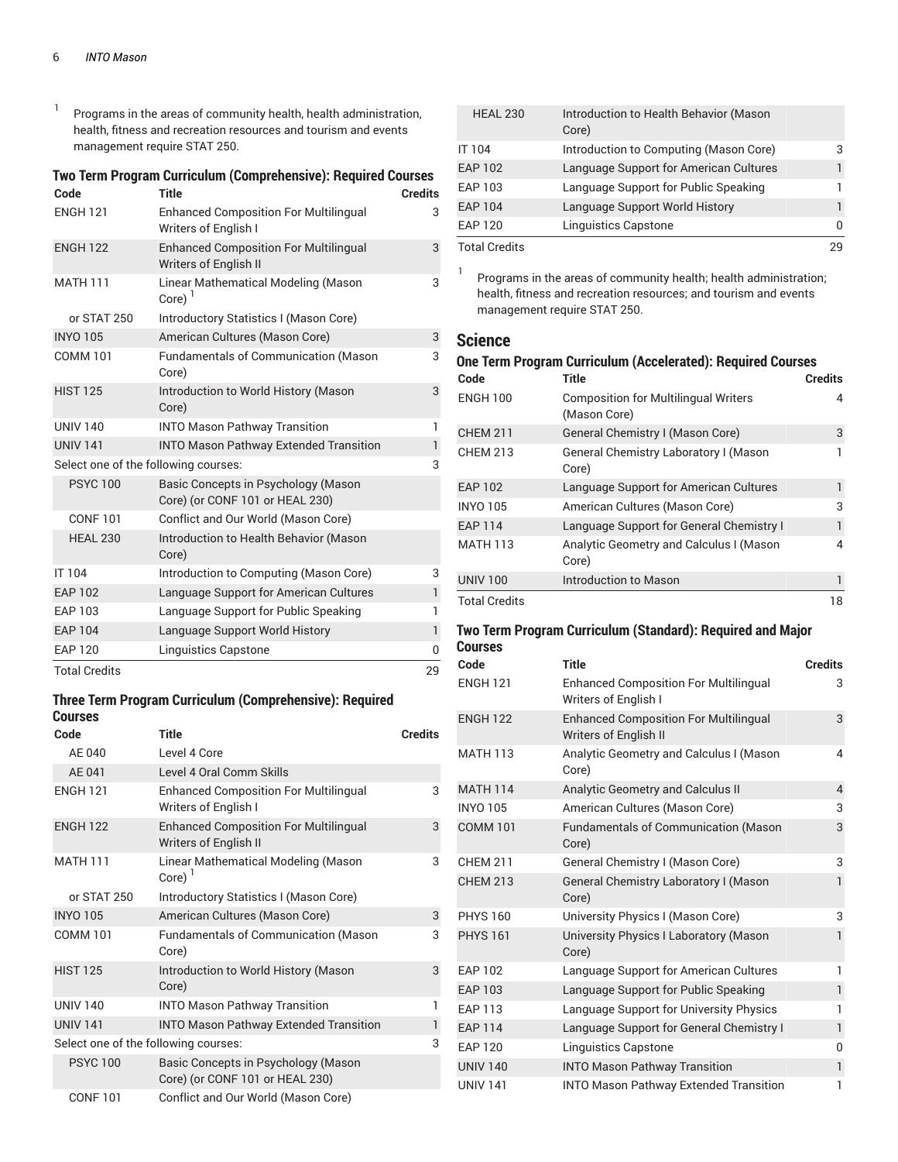1 Programs in the areas of community health, health administration, health, fitness and recreation resources and tourism and events management require STAT 250.

#### **Two Term Program Curriculum (Comprehensive): Required Courses**

| Code                                 | <b>Title</b>                                                                 | <b>Credits</b> |
|--------------------------------------|------------------------------------------------------------------------------|----------------|
| <b>ENGH 121</b>                      | <b>Enhanced Composition For Multilingual</b><br>Writers of English I         | 3              |
| <b>ENGH 122</b>                      | <b>Enhanced Composition For Multilingual</b><br><b>Writers of English II</b> | 3              |
| <b>MATH 111</b>                      | Linear Mathematical Modeling (Mason<br>Core) $1$                             | 3              |
| or STAT 250                          | Introductory Statistics I (Mason Core)                                       |                |
| <b>INYO 105</b>                      | American Cultures (Mason Core)                                               | 3              |
| <b>COMM 101</b>                      | <b>Fundamentals of Communication (Mason</b><br>Core)                         | 3              |
| <b>HIST 125</b>                      | Introduction to World History (Mason<br>Core)                                | 3              |
| <b>UNIV 140</b>                      | <b>INTO Mason Pathway Transition</b>                                         | $\mathbf{1}$   |
| <b>UNIV 141</b>                      | <b>INTO Mason Pathway Extended Transition</b>                                | 1              |
| Select one of the following courses: |                                                                              | 3              |
| <b>PSYC 100</b>                      | Basic Concepts in Psychology (Mason<br>Core) (or CONF 101 or HEAL 230)       |                |
| <b>CONF 101</b>                      | Conflict and Our World (Mason Core)                                          |                |
| <b>HEAL 230</b>                      | Introduction to Health Behavior (Mason<br>Core)                              |                |
| IT 104                               | Introduction to Computing (Mason Core)                                       | 3              |
| <b>EAP 102</b>                       | Language Support for American Cultures                                       | $\mathbf{1}$   |
| <b>EAP 103</b>                       | Language Support for Public Speaking                                         | 1              |
| <b>EAP 104</b>                       | Language Support World History                                               | $\mathbf{1}$   |
| <b>EAP 120</b>                       | Linguistics Capstone                                                         | $\mathbf{0}$   |
| <b>Total Credits</b>                 |                                                                              | 29             |

#### **Three Term Program Curriculum (Comprehensive): Required Courses**

| Code                                 | Title                                                                        | <b>Credits</b> |
|--------------------------------------|------------------------------------------------------------------------------|----------------|
| AE 040                               | Level 4 Core                                                                 |                |
| AE 041                               | Level 4 Oral Comm Skills                                                     |                |
| <b>ENGH 121</b>                      | <b>Enhanced Composition For Multilingual</b><br>Writers of English I         | 3              |
| <b>ENGH 122</b>                      | <b>Enhanced Composition For Multilingual</b><br><b>Writers of English II</b> | 3              |
| <b>MATH 111</b>                      | Linear Mathematical Modeling (Mason<br>Core) <sup>'</sup>                    | 3              |
| or STAT 250                          | Introductory Statistics I (Mason Core)                                       |                |
| <b>INYO 105</b>                      | American Cultures (Mason Core)                                               | 3              |
| <b>COMM 101</b>                      | <b>Fundamentals of Communication (Mason</b><br>Core)                         | 3              |
| <b>HIST 125</b>                      | Introduction to World History (Mason<br>Core)                                | 3              |
| <b>UNIV 140</b>                      | <b>INTO Mason Pathway Transition</b>                                         | 1              |
| <b>UNIV 141</b>                      | <b>INTO Mason Pathway Extended Transition</b>                                | 1              |
| Select one of the following courses: |                                                                              | 3              |
| <b>PSYC100</b>                       | Basic Concepts in Psychology (Mason<br>Core) (or CONF 101 or HEAL 230)       |                |
| <b>CONF101</b>                       | Conflict and Our World (Mason Core)                                          |                |

| <b>HEAL 230</b>      | Introduction to Health Behavior (Mason<br>Core) |   |
|----------------------|-------------------------------------------------|---|
| <b>IT 104</b>        | Introduction to Computing (Mason Core)          | З |
| <b>EAP 102</b>       | Language Support for American Cultures          |   |
| EAP 103              | Language Support for Public Speaking            |   |
| <b>EAP 104</b>       | Language Support World History                  |   |
| <b>EAP 120</b>       | <b>Linguistics Capstone</b>                     | U |
| <b>Total Credits</b> |                                                 |   |

1 Programs in the areas of community health; health administration; health, fitness and recreation resources; and tourism and events management require STAT 250.

### **Science**

#### **One Term Program Curriculum (Accelerated): Required Courses**

| Code                 | <b>Title</b>                                                | <b>Credits</b> |
|----------------------|-------------------------------------------------------------|----------------|
| <b>ENGH 100</b>      | <b>Composition for Multilingual Writers</b><br>(Mason Core) | 4              |
| <b>CHEM 211</b>      | General Chemistry I (Mason Core)                            | 3              |
| <b>CHEM 213</b>      | General Chemistry Laboratory I (Mason<br>Core)              |                |
| <b>EAP 102</b>       | Language Support for American Cultures                      |                |
| <b>INYO 105</b>      | American Cultures (Mason Core)                              | 3              |
| <b>EAP 114</b>       | Language Support for General Chemistry I                    | 1              |
| <b>MATH 113</b>      | Analytic Geometry and Calculus I (Mason<br>Core)            | 4              |
| <b>UNIV 100</b>      | <b>Introduction to Mason</b>                                |                |
| <b>Total Credits</b> |                                                             | 18             |

#### **Two Term Program Curriculum (Standard): Required and Major Courses**

| Code            | Title                                                                 | <b>Credits</b> |
|-----------------|-----------------------------------------------------------------------|----------------|
| <b>ENGH 121</b> | <b>Enhanced Composition For Multilingual</b><br>Writers of English I  | 3              |
| <b>ENGH 122</b> | <b>Enhanced Composition For Multilingual</b><br>Writers of English II | 3              |
| <b>MATH 113</b> | Analytic Geometry and Calculus I (Mason<br>Core)                      | $\overline{4}$ |
| <b>MATH 114</b> | Analytic Geometry and Calculus II                                     | $\overline{4}$ |
| <b>INYO 105</b> | American Cultures (Mason Core)                                        | 3              |
| <b>COMM 101</b> | <b>Fundamentals of Communication (Mason</b><br>Core)                  | 3              |
| <b>CHEM 211</b> | General Chemistry I (Mason Core)                                      | 3              |
| <b>CHEM 213</b> | General Chemistry Laboratory I (Mason<br>Core)                        | $\mathbf{1}$   |
| <b>PHYS 160</b> | University Physics I (Mason Core)                                     | 3              |
| <b>PHYS 161</b> | University Physics I Laboratory (Mason<br>Core)                       | $\mathbf{1}$   |
| <b>EAP 102</b>  | Language Support for American Cultures                                | 1              |
| <b>EAP 103</b>  | Language Support for Public Speaking                                  | 1              |
| <b>EAP 113</b>  | Language Support for University Physics                               | 1              |
| <b>EAP 114</b>  | Language Support for General Chemistry I                              | 1              |
| <b>EAP 120</b>  | <b>Linguistics Capstone</b>                                           | $\Omega$       |
| <b>UNIV 140</b> | <b>INTO Mason Pathway Transition</b>                                  | 1              |
| <b>UNIV 141</b> | <b>INTO Mason Pathway Extended Transition</b>                         | 1              |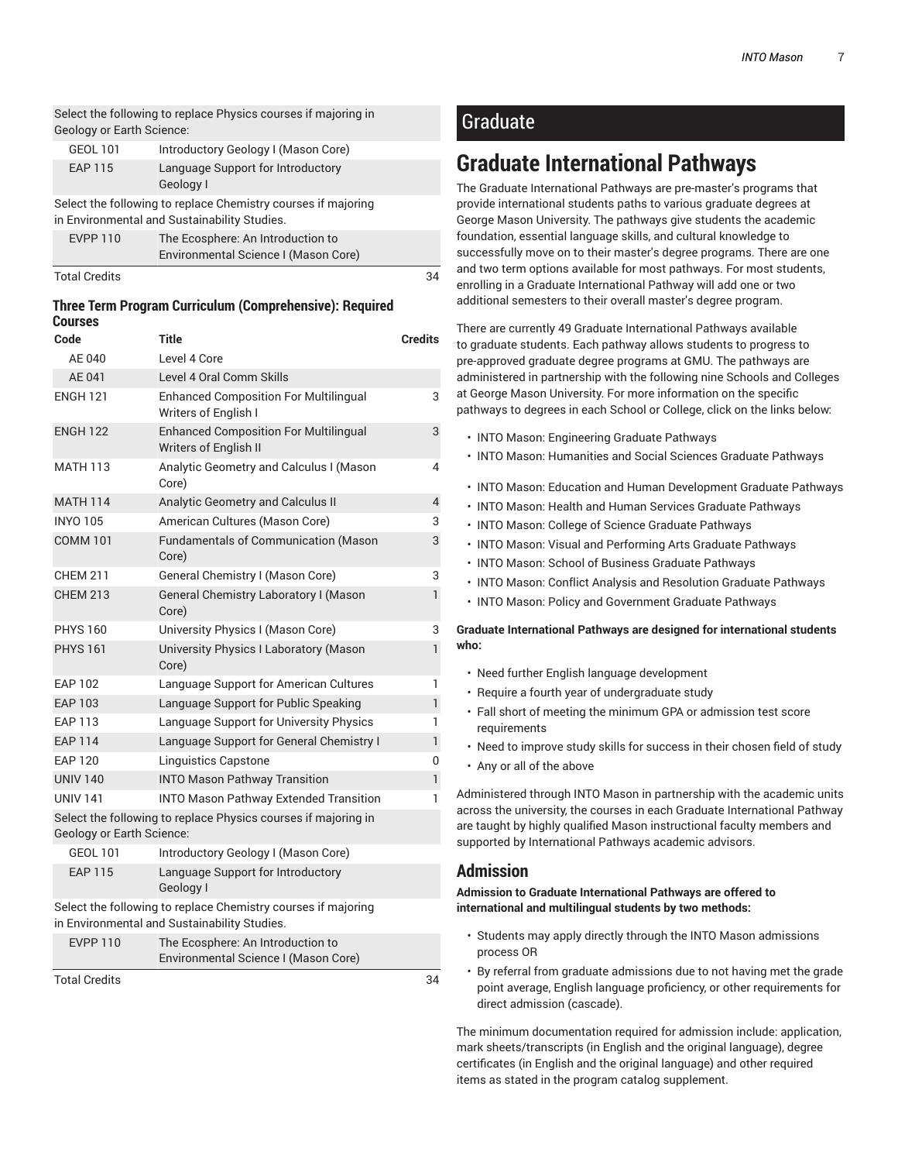Select the following to replace Physics courses if majoring in Geology or Earth Science:

| GEOL 101 | Introductory Geology I (Mason Core)            |
|----------|------------------------------------------------|
| EAP 115  | Language Support for Introductory<br>Geology I |

Select the following to replace Chemistry courses if majoring in Environmental and Sustainability Studies.

|                 | Environmental Science I (Mason Core) |
|-----------------|--------------------------------------|
| <b>EVPP 110</b> | The Ecosphere: An Introduction to    |

| Total Credits |  |
|---------------|--|
|               |  |

#### **Three Term Program Curriculum (Comprehensive): Required Courses**

| Code                             | Title                                                                                                         | <b>Credits</b> |
|----------------------------------|---------------------------------------------------------------------------------------------------------------|----------------|
| AE 040                           | Level 4 Core                                                                                                  |                |
| AE 041                           | Level 4 Oral Comm Skills                                                                                      |                |
| <b>ENGH 121</b>                  | <b>Enhanced Composition For Multilingual</b><br>Writers of English I                                          | 3              |
| <b>ENGH 122</b>                  | <b>Enhanced Composition For Multilingual</b><br>Writers of English II                                         | 3              |
| <b>MATH 113</b>                  | Analytic Geometry and Calculus I (Mason<br>Core)                                                              | 4              |
| <b>MATH 114</b>                  | Analytic Geometry and Calculus II                                                                             | $\overline{4}$ |
| <b>INYO 105</b>                  | American Cultures (Mason Core)                                                                                | 3              |
| <b>COMM 101</b>                  | Fundamentals of Communication (Mason<br>Core)                                                                 | 3              |
| <b>CHEM 211</b>                  | General Chemistry I (Mason Core)                                                                              | 3              |
| <b>CHEM 213</b>                  | General Chemistry Laboratory I (Mason<br>Core)                                                                | 1              |
| <b>PHYS 160</b>                  | University Physics I (Mason Core)                                                                             | 3              |
| <b>PHYS 161</b>                  | University Physics I Laboratory (Mason<br>Core)                                                               | $\mathbf{1}$   |
| <b>EAP 102</b>                   | Language Support for American Cultures                                                                        | 1              |
| <b>EAP 103</b>                   | Language Support for Public Speaking                                                                          | $\mathbf{1}$   |
| <b>EAP 113</b>                   | Language Support for University Physics                                                                       | 1              |
| <b>EAP 114</b>                   | Language Support for General Chemistry I                                                                      | 1              |
| <b>EAP 120</b>                   | <b>Linguistics Capstone</b>                                                                                   | 0              |
| <b>UNIV 140</b>                  | <b>INTO Mason Pathway Transition</b>                                                                          | $\mathbf{1}$   |
| <b>UNIV 141</b>                  | <b>INTO Mason Pathway Extended Transition</b>                                                                 | 1              |
| <b>Geology or Earth Science:</b> | Select the following to replace Physics courses if majoring in                                                |                |
| GEOL 101                         | Introductory Geology I (Mason Core)                                                                           |                |
| <b>EAP 115</b>                   | Language Support for Introductory<br>Geology I                                                                |                |
|                                  | Select the following to replace Chemistry courses if majoring<br>in Environmental and Sustainability Studies. |                |
| <b>EVPP 110</b>                  | The Ecosphere: An Introduction to<br>Environmental Science I (Mason Core)                                     |                |

Total Credits 34

## Graduate

## **Graduate International Pathways**

The Graduate International Pathways are pre-master's programs that provide international students paths to various graduate degrees at George Mason University. The pathways give students the academic foundation, essential language skills, and cultural knowledge to successfully move on to their master's degree programs. There are one and two term options available for most pathways. For most students, enrolling in a Graduate International Pathway will add one or two additional semesters to their overall master's degree program.

There are currently 49 Graduate International Pathways available to graduate students. Each pathway allows students to progress to pre-approved graduate degree programs at GMU. The pathways are administered in partnership with the following nine Schools and Colleges at George Mason University. For more information on the specific pathways to degrees in each School or College, click on the links below:

- INTO Mason: Engineering Graduate Pathways
- INTO Mason: Humanities and Social Sciences Graduate Pathways
- INTO Mason: Education and Human Development Graduate Pathways
- INTO Mason: Health and Human Services Graduate Pathways
- INTO Mason: College of Science Graduate Pathways
- INTO Mason: Visual and Performing Arts Graduate Pathways
- INTO Mason: School of Business Graduate Pathways
- INTO Mason: Conflict Analysis and Resolution Graduate Pathways
- INTO Mason: Policy and Government Graduate Pathways

**Graduate International Pathways are designed for international students who:**

- Need further English language development
- Require a fourth year of undergraduate study
- Fall short of meeting the minimum GPA or admission test score requirements
- Need to improve study skills for success in their chosen field of study
- Any or all of the above

Administered through INTO Mason in partnership with the academic units across the university, the courses in each Graduate International Pathway are taught by highly qualified Mason instructional faculty members and supported by International Pathways academic advisors.

### **Admission**

**Admission to Graduate International Pathways are offered to international and multilingual students by two methods:**

- Students may apply directly through the INTO Mason admissions process OR
- By referral from graduate admissions due to not having met the grade point average, English language proficiency, or other requirements for direct admission (cascade).

The minimum documentation required for admission include: application, mark sheets/transcripts (in English and the original language), degree certificates (in English and the original language) and other required items as stated in the program catalog supplement.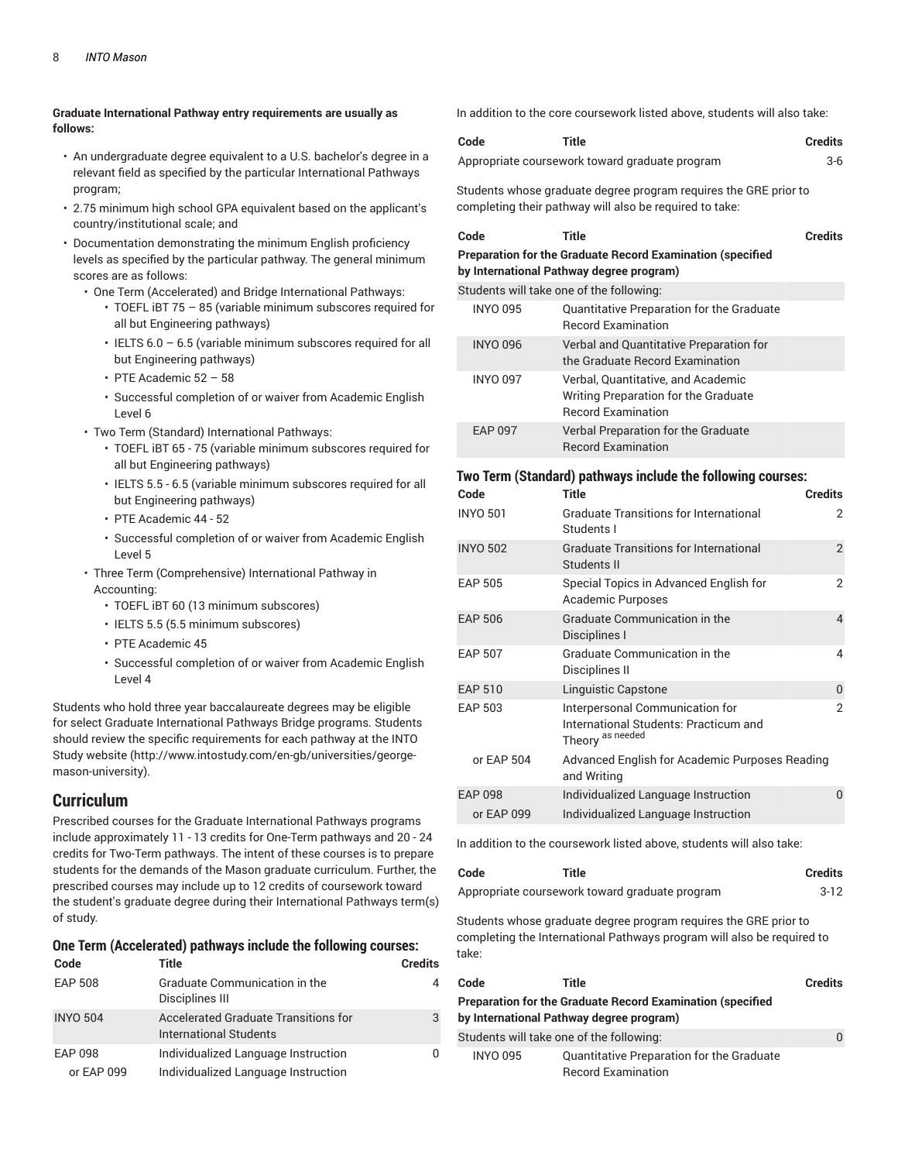#### **Graduate International Pathway entry requirements are usually as follows:**

- An undergraduate degree equivalent to a U.S. bachelor's degree in a relevant field as specified by the particular International Pathways program;
- 2.75 minimum high school GPA equivalent based on the applicant's country/institutional scale; and
- Documentation demonstrating the minimum English proficiency levels as specified by the particular pathway. The general minimum scores are as follows:
	- One Term (Accelerated) and Bridge International Pathways:
		- TOEFL iBT 75 85 (variable minimum subscores required for all but Engineering pathways)
		- $\cdot$  IELTS 6.0 6.5 (variable minimum subscores required for all but Engineering pathways)
		- PTE Academic 52 58
		- Successful completion of or waiver from Academic English Level 6
	- Two Term (Standard) International Pathways:
		- TOEFL iBT 65 75 (variable minimum subscores required for all but Engineering pathways)
		- IELTS 5.5 6.5 (variable minimum subscores required for all but Engineering pathways)
		- PTE Academic 44 52
		- Successful completion of or waiver from Academic English Level 5
	- Three Term (Comprehensive) International Pathway in Accounting:
		- TOEFL iBT 60 (13 minimum subscores)
		- IELTS 5.5 (5.5 minimum subscores)
		- PTE Academic 45
		- Successful completion of or waiver from Academic English Level 4

Students who hold three year baccalaureate degrees may be eligible for select Graduate International Pathways Bridge programs. Students should review the specific requirements for each pathway at the INTO Study website (http://www.intostudy.com/en-gb/universities/georgemason-university).

#### **Curriculum**

Prescribed courses for the Graduate International Pathways programs include approximately 11 - 13 credits for One-Term pathways and 20 - 24 credits for Two-Term pathways. The intent of these courses is to prepare students for the demands of the Mason graduate curriculum. Further, the prescribed courses may include up to 12 credits of coursework toward the student's graduate degree during their International Pathways term(s) of study.

#### **One Term (Accelerated) pathways include the following courses:**

| Code            | Title                                                          | <b>Credits</b> |
|-----------------|----------------------------------------------------------------|----------------|
| <b>EAP 508</b>  | Graduate Communication in the<br>Disciplines III               | 4              |
| <b>INYO 504</b> | Accelerated Graduate Transitions for<br>International Students | 3              |
| EAP 098         | Individualized Language Instruction                            | <sup>n</sup>   |
| or EAP 099      | Individualized Language Instruction                            |                |

In addition to the core coursework listed above, students will also take:

| Code | <b>Title</b>                                   | <b>Credits</b> |
|------|------------------------------------------------|----------------|
|      | Appropriate coursework toward graduate program | 3-6            |

Students whose graduate degree program requires the GRE prior to completing their pathway will also be required to take:

| Code            | <b>Title</b>                                                                                                   | <b>Credits</b> |
|-----------------|----------------------------------------------------------------------------------------------------------------|----------------|
|                 | <b>Preparation for the Graduate Record Examination (specified)</b><br>by International Pathway degree program) |                |
|                 | Students will take one of the following:                                                                       |                |
| <b>INYO 095</b> | Quantitative Preparation for the Graduate<br><b>Becord Examination</b>                                         |                |
| <b>INYO 096</b> | Verbal and Quantitative Preparation for<br>the Graduate Becord Examination                                     |                |
| <b>INYO 097</b> | Verbal, Quantitative, and Academic<br>Writing Preparation for the Graduate<br><b>Becord Examination</b>        |                |
| <b>EAP 097</b>  | Verbal Preparation for the Graduate<br><b>Record Examination</b>                                               |                |

#### **Two Term (Standard) pathways include the following courses:**

| Code            | <b>Title</b><br><b>Credits</b>                                                               |               |
|-----------------|----------------------------------------------------------------------------------------------|---------------|
| <b>INYO 501</b> | <b>Graduate Transitions for International</b><br>Students I                                  | 2             |
| <b>INYO 502</b> | <b>Graduate Transitions for International</b><br>Students II                                 | 2             |
| <b>EAP 505</b>  | Special Topics in Advanced English for<br>Academic Purposes                                  | 2             |
| <b>EAP 506</b>  | <b>Graduate Communication in the</b><br>Disciplines I                                        | 4             |
| <b>EAP 507</b>  | <b>Graduate Communication in the</b><br>Disciplines II                                       | 4             |
| <b>EAP 510</b>  | Linguistic Capstone                                                                          | $\Omega$      |
| <b>EAP 503</b>  | Interpersonal Communication for<br>International Students: Practicum and<br>Theory as needed | $\mathcal{P}$ |
| or EAP 504      | Advanced English for Academic Purposes Reading<br>and Writing                                |               |
| <b>EAP 098</b>  | Individualized Language Instruction                                                          | $\Omega$      |
| or EAP 099      | Individualized Language Instruction                                                          |               |

In addition to the coursework listed above, students will also take:

| Code | Title                                          | Credits  |
|------|------------------------------------------------|----------|
|      | Appropriate coursework toward graduate program | $3 - 12$ |

Students whose graduate degree program requires the GRE prior to completing the International Pathways program will also be required to take:

| Code                                                                                                           | Title                                     | <b>Credits</b> |  |
|----------------------------------------------------------------------------------------------------------------|-------------------------------------------|----------------|--|
| <b>Preparation for the Graduate Record Examination (specified)</b><br>by International Pathway degree program) |                                           |                |  |
|                                                                                                                |                                           |                |  |
|                                                                                                                | Students will take one of the following:  |                |  |
| <b>INYO 095</b>                                                                                                | Quantitative Preparation for the Graduate |                |  |
|                                                                                                                | <b>Record Examination</b>                 |                |  |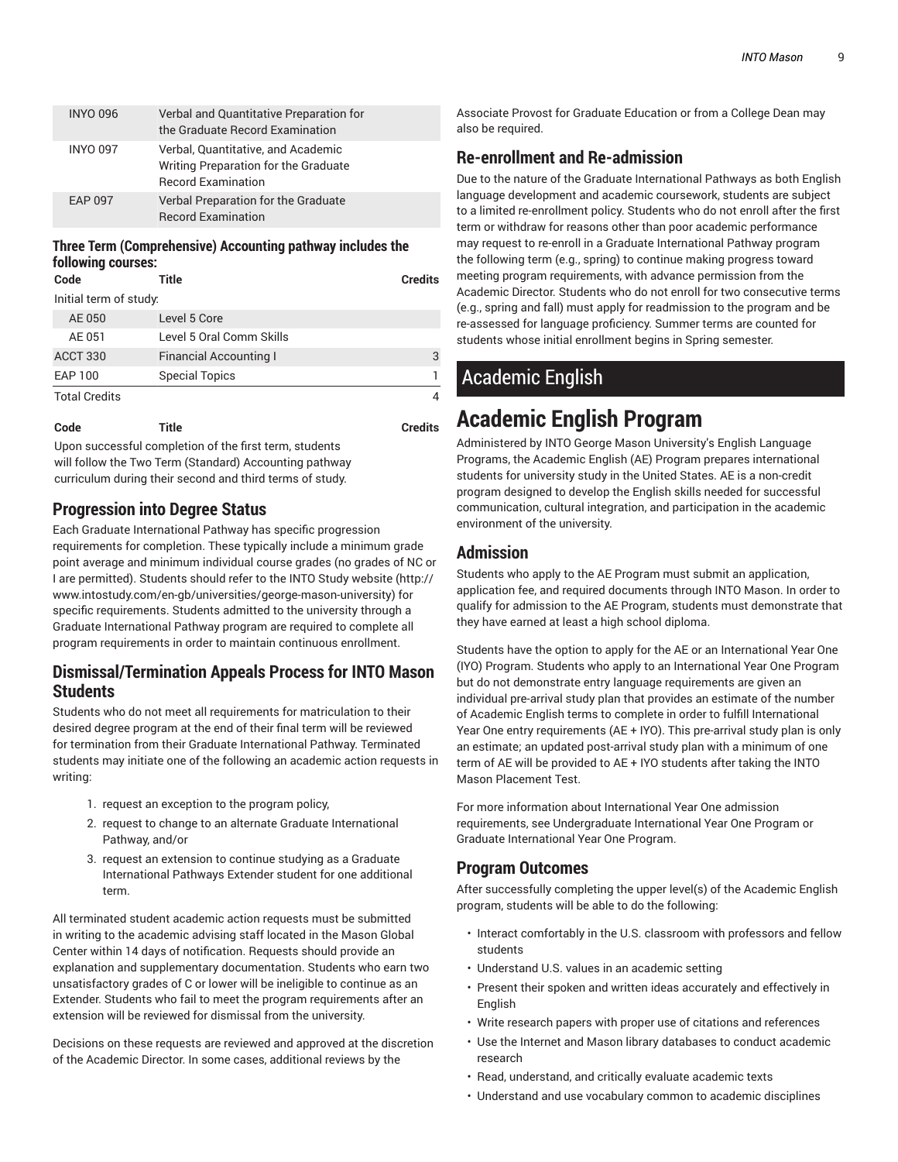| <b>INYO 096</b> | Verbal and Quantitative Preparation for<br>the Graduate Record Examination                              |
|-----------------|---------------------------------------------------------------------------------------------------------|
| <b>INYO 097</b> | Verbal, Quantitative, and Academic<br>Writing Preparation for the Graduate<br><b>Record Examination</b> |
| EAP 097         | Verbal Preparation for the Graduate<br><b>Record Examination</b>                                        |

#### **Three Term (Comprehensive) Accounting pathway includes the following courses:**

| Code                   | Title                         | <b>Credits</b> |
|------------------------|-------------------------------|----------------|
| Initial term of study: |                               |                |
| AE 050                 | Level 5 Core                  |                |
| AE 051                 | Level 5 Oral Comm Skills      |                |
| ACCT 330               | <b>Financial Accounting I</b> | 3              |
| <b>EAP 100</b>         | <b>Special Topics</b>         |                |
| <b>Total Credits</b>   |                               |                |

| Code | <b>Title</b> | <b>Credits</b> |
|------|--------------|----------------|
|      |              |                |

Upon successful completion of the first term, students will follow the Two Term (Standard) Accounting pathway curriculum during their second and third terms of study.

## **Progression into Degree Status**

Each Graduate International Pathway has specific progression requirements for completion. These typically include a minimum grade point average and minimum individual course grades (no grades of NC or I are permitted). Students should refer to the INTO Study website (http:// www.intostudy.com/en-gb/universities/george-mason-university) for specific requirements. Students admitted to the university through a Graduate International Pathway program are required to complete all program requirements in order to maintain continuous enrollment.

## **Dismissal/Termination Appeals Process for INTO Mason Students**

Students who do not meet all requirements for matriculation to their desired degree program at the end of their final term will be reviewed for termination from their Graduate International Pathway. Terminated students may initiate one of the following an academic action requests in writing:

- 1. request an exception to the program policy,
- 2. request to change to an alternate Graduate International Pathway, and/or
- 3. request an extension to continue studying as a Graduate International Pathways Extender student for one additional term.

All terminated student academic action requests must be submitted in writing to the academic advising staff located in the Mason Global Center within 14 days of notification. Requests should provide an explanation and supplementary documentation. Students who earn two unsatisfactory grades of C or lower will be ineligible to continue as an Extender. Students who fail to meet the program requirements after an extension will be reviewed for dismissal from the university.

Decisions on these requests are reviewed and approved at the discretion of the Academic Director. In some cases, additional reviews by the

Associate Provost for Graduate Education or from a College Dean may also be required.

## **Re-enrollment and Re-admission**

Due to the nature of the Graduate International Pathways as both English language development and academic coursework, students are subject to a limited re-enrollment policy. Students who do not enroll after the first term or withdraw for reasons other than poor academic performance may request to re-enroll in a Graduate International Pathway program the following term (e.g., spring) to continue making progress toward meeting program requirements, with advance permission from the Academic Director. Students who do not enroll for two consecutive terms (e.g., spring and fall) must apply for readmission to the program and be re-assessed for language proficiency. Summer terms are counted for students whose initial enrollment begins in Spring semester.

## Academic English

## **Academic English Program**

Administered by INTO George Mason University's English Language Programs, the Academic English (AE) Program prepares international students for university study in the United States. AE is a non-credit program designed to develop the English skills needed for successful communication, cultural integration, and participation in the academic environment of the university.

## **Admission**

Students who apply to the AE Program must submit an application, application fee, and required documents through INTO Mason. In order to qualify for admission to the AE Program, students must demonstrate that they have earned at least a high school diploma.

Students have the option to apply for the AE or an International Year One (IYO) Program. Students who apply to an International Year One Program but do not demonstrate entry language requirements are given an individual pre-arrival study plan that provides an estimate of the number of Academic English terms to complete in order to fulfill International Year One entry requirements (AE + IYO). This pre-arrival study plan is only an estimate; an updated post-arrival study plan with a minimum of one term of AE will be provided to AE + IYO students after taking the INTO Mason Placement Test.

For more information about International Year One admission requirements, see Undergraduate International Year One Program or Graduate International Year One Program.

## **Program Outcomes**

After successfully completing the upper level(s) of the Academic English program, students will be able to do the following:

- Interact comfortably in the U.S. classroom with professors and fellow students
- Understand U.S. values in an academic setting
- Present their spoken and written ideas accurately and effectively in **English**
- Write research papers with proper use of citations and references
- Use the Internet and Mason library databases to conduct academic research
- Read, understand, and critically evaluate academic texts
- Understand and use vocabulary common to academic disciplines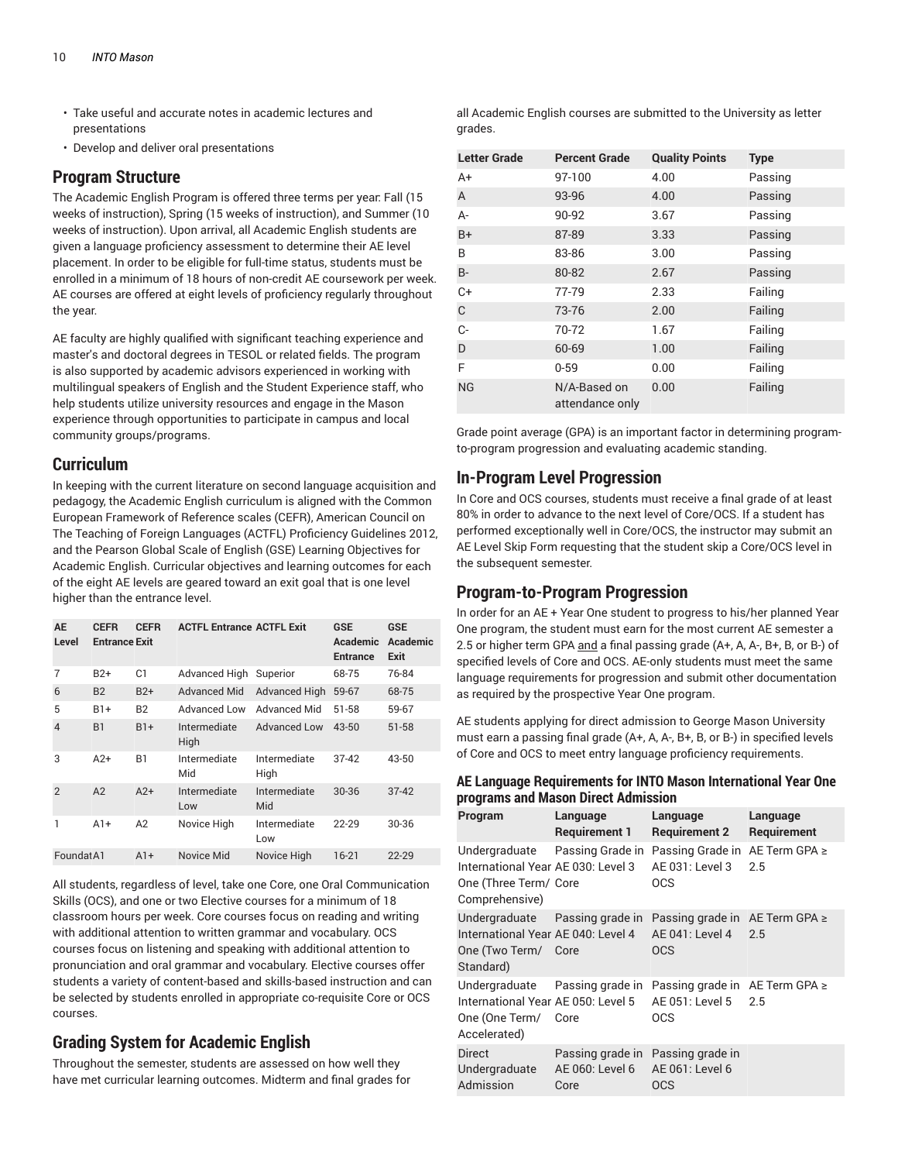- Take useful and accurate notes in academic lectures and presentations
- Develop and deliver oral presentations

### **Program Structure**

The Academic English Program is offered three terms per year: Fall (15 weeks of instruction), Spring (15 weeks of instruction), and Summer (10 weeks of instruction). Upon arrival, all Academic English students are given a language proficiency assessment to determine their AE level placement. In order to be eligible for full-time status, students must be enrolled in a minimum of 18 hours of non-credit AE coursework per week. AE courses are offered at eight levels of proficiency regularly throughout the year.

AE faculty are highly qualified with significant teaching experience and master's and doctoral degrees in TESOL or related fields. The program is also supported by academic advisors experienced in working with multilingual speakers of English and the Student Experience staff, who help students utilize university resources and engage in the Mason experience through opportunities to participate in campus and local community groups/programs.

#### **Curriculum**

In keeping with the current literature on second language acquisition and pedagogy, the Academic English curriculum is aligned with the Common European Framework of Reference scales (CEFR), American Council on The Teaching of Foreign Languages (ACTFL) Proficiency Guidelines 2012, and the Pearson Global Scale of English (GSE) Learning Objectives for Academic English. Curricular objectives and learning outcomes for each of the eight AE levels are geared toward an exit goal that is one level higher than the entrance level.

| AE<br>Level    | <b>CEFR</b><br><b>Entrance Exit</b> | <b>CEFR</b>    | <b>ACTFL Entrance ACTFL Exit</b> |                      | <b>GSE</b><br>Academic<br><b>Entrance</b> | <b>GSE</b><br>Academic<br>Exit |
|----------------|-------------------------------------|----------------|----------------------------------|----------------------|-------------------------------------------|--------------------------------|
| 7              | $B2+$                               | C <sub>1</sub> | Advanced High                    | Superior             | 68-75                                     | 76-84                          |
| 6              | <b>B2</b>                           | $B2+$          | <b>Advanced Mid</b>              | <b>Advanced High</b> | 59-67                                     | 68-75                          |
| 5              | $B1+$                               | <b>B2</b>      | Advanced Low                     | Advanced Mid         | 51-58                                     | 59-67                          |
| $\overline{4}$ | <b>B1</b>                           | $B1+$          | Intermediate<br>High             | Advanced Low         | $43 - 50$                                 | $51 - 58$                      |
| 3              | $A2+$                               | B <sub>1</sub> | Intermediate<br>Mid              | Intermediate<br>High | $37 - 42$                                 | 43-50                          |
| $\mathcal{P}$  | A2                                  | $A2+$          | Intermediate<br>Low              | Intermediate<br>Mid  | $30 - 36$                                 | $37 - 42$                      |
| 1              | $A1+$                               | A <sub>2</sub> | Novice High                      | Intermediate<br>Low  | $22 - 29$                                 | 30-36                          |
| Foundat A1     |                                     | $A1+$          | Novice Mid                       | Novice High          | $16 - 21$                                 | $22 - 29$                      |

All students, regardless of level, take one Core, one Oral Communication Skills (OCS), and one or two Elective courses for a minimum of 18 classroom hours per week. Core courses focus on reading and writing with additional attention to written grammar and vocabulary. OCS courses focus on listening and speaking with additional attention to pronunciation and oral grammar and vocabulary. Elective courses offer students a variety of content-based and skills-based instruction and can be selected by students enrolled in appropriate co-requisite Core or OCS courses.

## **Grading System for Academic English**

Throughout the semester, students are assessed on how well they have met curricular learning outcomes. Midterm and final grades for

all Academic English courses are submitted to the University as letter grades.

| <b>Letter Grade</b> | <b>Percent Grade</b>            | <b>Quality Points</b> | <b>Type</b> |
|---------------------|---------------------------------|-----------------------|-------------|
| A+                  | 97-100                          | 4.00                  | Passing     |
| A                   | 93-96                           | 4.00                  | Passing     |
| А-                  | 90-92                           | 3.67                  | Passing     |
| $B+$                | 87-89                           | 3.33                  | Passing     |
| B                   | 83-86                           | 3.00                  | Passing     |
| <b>B-</b>           | 80-82                           | 2.67                  | Passing     |
| $C+$                | 77-79                           | 2.33                  | Failing     |
| C                   | 73-76                           | 2.00                  | Failing     |
| C-                  | 70-72                           | 1.67                  | Failing     |
| D                   | 60-69                           | 1.00                  | Failing     |
| F                   | $0 - 59$                        | 0.00                  | Failing     |
| <b>NG</b>           | N/A-Based on<br>attendance only | 0.00                  | Failing     |

Grade point average (GPA) is an important factor in determining programto-program progression and evaluating academic standing.

### **In-Program Level Progression**

In Core and OCS courses, students must receive a final grade of at least 80% in order to advance to the next level of Core/OCS. If a student has performed exceptionally well in Core/OCS, the instructor may submit an AE Level Skip Form requesting that the student skip a Core/OCS level in the subsequent semester.

### **Program-to-Program Progression**

In order for an AE + Year One student to progress to his/her planned Year One program, the student must earn for the most current AE semester a 2.5 or higher term GPA and a final passing grade (A+, A, A-, B+, B, or B-) of specified levels of Core and OCS. AE-only students must meet the same language requirements for progression and submit other documentation as required by the prospective Year One program.

AE students applying for direct admission to George Mason University must earn a passing final grade (A+, A, A-, B+, B, or B-) in specified levels of Core and OCS to meet entry language proficiency requirements.

| AE Language Requirements for INTO Mason International Year One |  |
|----------------------------------------------------------------|--|
| programs and Mason Direct Admission                            |  |

| Program                                                                                                  | Language<br><b>Requirement 1</b>            | Language<br><b>Requirement 2</b>                                       | Language<br>Requirement |
|----------------------------------------------------------------------------------------------------------|---------------------------------------------|------------------------------------------------------------------------|-------------------------|
| Undergraduate<br>International Year AE 030: Level 3<br>One (Three Term/ Core<br>Comprehensive)           | Passing Grade in                            | Passing Grade in AE Term GPA ≥<br>AE 031: Level 3<br><b>OCS</b>        | 2.5                     |
| Undergraduate Passing grade in<br>International Year AE 040: Level 4<br>One (Two Term/ Core<br>Standard) |                                             | Passing grade in AE Term GPA ≥<br>AE 041: Level 4<br><b>OCS</b>        | 2.5                     |
| Undergraduate Passing grade in<br>International Year AE 050: Level 5<br>One (One Term/<br>Accelerated)   | Core                                        | Passing grade in $AE$ Term GPA $\geq$<br>AE 051: Level 5<br><b>OCS</b> | 2.5                     |
| Direct<br>Undergraduate<br>Admission                                                                     | Passing grade in<br>AE 060: Level 6<br>Core | Passing grade in<br>AE 061: Level 6<br><b>OCS</b>                      |                         |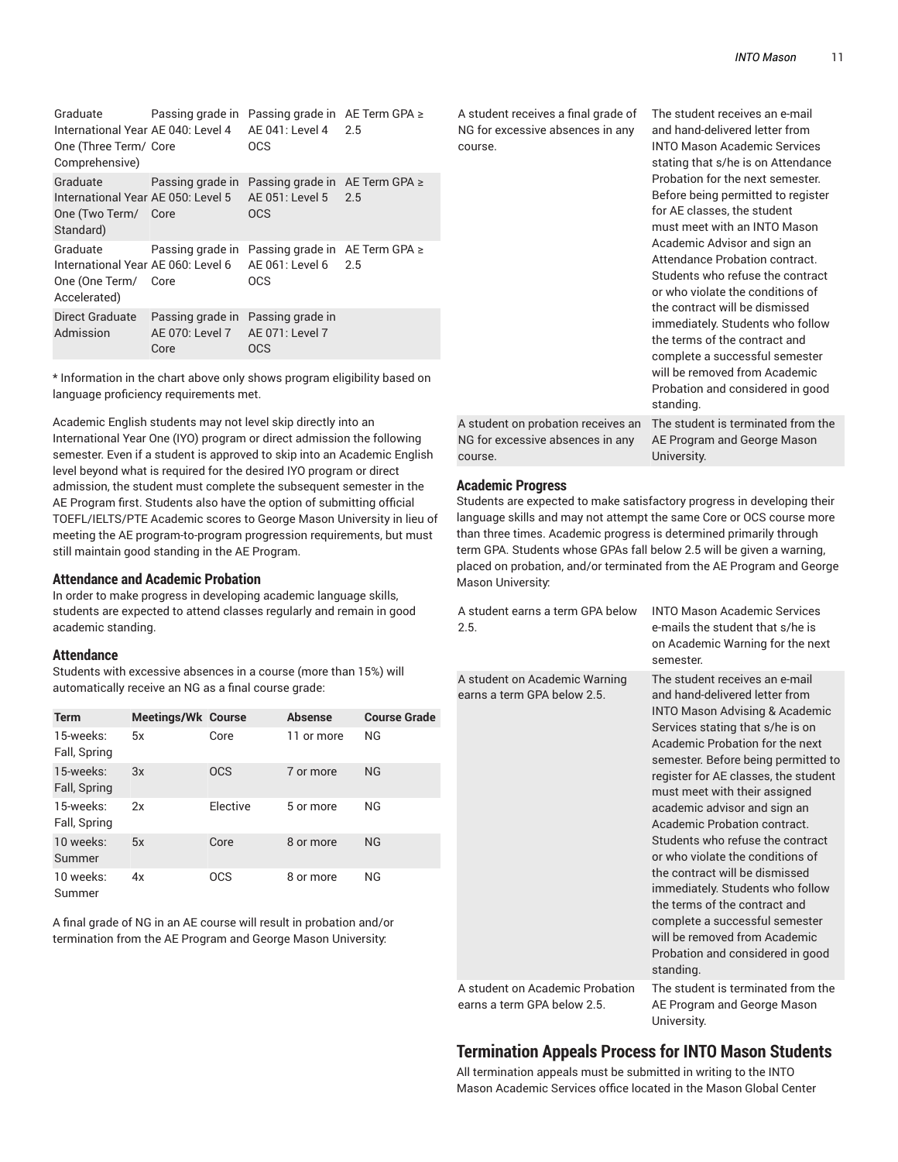| Graduate<br>One (Three Term/ Core<br>Comprehensive) |                                                                              | Passing grade in Passing grade in AE Term GPA ≥<br>International Year AE 040: Level 4 AE 041: Level 4 2.5<br><b>OCS</b>     |  |
|-----------------------------------------------------|------------------------------------------------------------------------------|-----------------------------------------------------------------------------------------------------------------------------|--|
| Graduate<br>One (Two Term/ Core<br>Standard)        |                                                                              | Passing grade in Passing grade in AE Term GPA $\ge$<br>International Year AE 050: Level 5 AE 051: Level 5 2.5<br><b>OCS</b> |  |
| Graduate<br>One (One Term/ Core<br>Accelerated)     |                                                                              | Passing grade in Passing grade in AE Term GPA $\ge$<br>International Year AE 060: Level 6 AE 061: Level 6 2.5<br><b>OCS</b> |  |
| Direct Graduate<br>Admission                        | Passing grade in Passing grade in<br>AE 070: Level 7 AE 071: Level 7<br>Core | <b>OCS</b>                                                                                                                  |  |

\* Information in the chart above only shows program eligibility based on language proficiency requirements met.

Academic English students may not level skip directly into an International Year One (IYO) program or direct admission the following semester. Even if a student is approved to skip into an Academic English level beyond what is required for the desired IYO program or direct admission, the student must complete the subsequent semester in the AE Program first. Students also have the option of submitting official TOEFL/IELTS/PTE Academic scores to George Mason University in lieu of meeting the AE program-to-program progression requirements, but must still maintain good standing in the AE Program.

#### **Attendance and Academic Probation**

In order to make progress in developing academic language skills, students are expected to attend classes regularly and remain in good academic standing.

#### **Attendance**

Students with excessive absences in a course (more than 15%) will automatically receive an NG as a final course grade:

| <b>Term</b>               | <b>Meetings/Wk Course</b> |            | <b>Absense</b> | <b>Course Grade</b> |
|---------------------------|---------------------------|------------|----------------|---------------------|
| 15-weeks:<br>Fall, Spring | 5x                        | Core       | 11 or more     | NG                  |
| 15-weeks:<br>Fall, Spring | 3x                        | <b>OCS</b> | 7 or more      | NG                  |
| 15-weeks:<br>Fall, Spring | 2x                        | Elective   | 5 or more      | NG                  |
| 10 weeks:<br>Summer       | 5x                        | Core       | 8 or more      | NG                  |
| 10 weeks:<br>Summer       | 4x                        | <b>OCS</b> | 8 or more      | NG                  |

A final grade of NG in an AE course will result in probation and/or termination from the AE Program and George Mason University:

A student receives a final grade of NG for excessive absences in any course.

and hand-delivered letter from INTO Mason Academic Services stating that s/he is on Attendance Probation for the next semester. Before being permitted to register for AE classes, the student must meet with an INTO Mason Academic Advisor and sign an Attendance Probation contract. Students who refuse the contract or who violate the conditions of the contract will be dismissed immediately. Students who follow the terms of the contract and complete a successful semester will be removed from Academic Probation and considered in good standing. The student is terminated from the

The student receives an e-mail

A student on probation receives an NG for excessive absences in any course. AE Program and George Mason University.

#### **Academic Progress**

Students are expected to make satisfactory progress in developing their language skills and may not attempt the same Core or OCS course more than three times. Academic progress is determined primarily through term GPA. Students whose GPAs fall below 2.5 will be given a warning, placed on probation, and/or terminated from the AE Program and George Mason University:

| A student earns a term GPA below<br>2.5.                     | <b>INTO Mason Academic Services</b><br>e-mails the student that s/he is<br>on Academic Warning for the next<br>semester.                                                                                                                                                                                                                                                                                                                                                                                                                                                                                                                                                |
|--------------------------------------------------------------|-------------------------------------------------------------------------------------------------------------------------------------------------------------------------------------------------------------------------------------------------------------------------------------------------------------------------------------------------------------------------------------------------------------------------------------------------------------------------------------------------------------------------------------------------------------------------------------------------------------------------------------------------------------------------|
| A student on Academic Warning<br>earns a term GPA below 2.5. | The student receives an e-mail<br>and hand-delivered letter from<br><b>INTO Mason Advising &amp; Academic</b><br>Services stating that s/he is on<br>Academic Probation for the next<br>semester. Before being permitted to<br>register for AE classes, the student<br>must meet with their assigned<br>academic advisor and sign an<br>Academic Probation contract.<br>Students who refuse the contract<br>or who violate the conditions of<br>the contract will be dismissed<br>immediately. Students who follow<br>the terms of the contract and<br>complete a successful semester<br>will be removed from Academic<br>Probation and considered in good<br>standing. |
| A student on Academic Probation                              | The student is terminated from the                                                                                                                                                                                                                                                                                                                                                                                                                                                                                                                                                                                                                                      |

earns a term GPA below 2.5.

AE Program and George Mason University.

### **Termination Appeals Process for INTO Mason Students**

All termination appeals must be submitted in writing to the INTO Mason Academic Services office located in the Mason Global Center